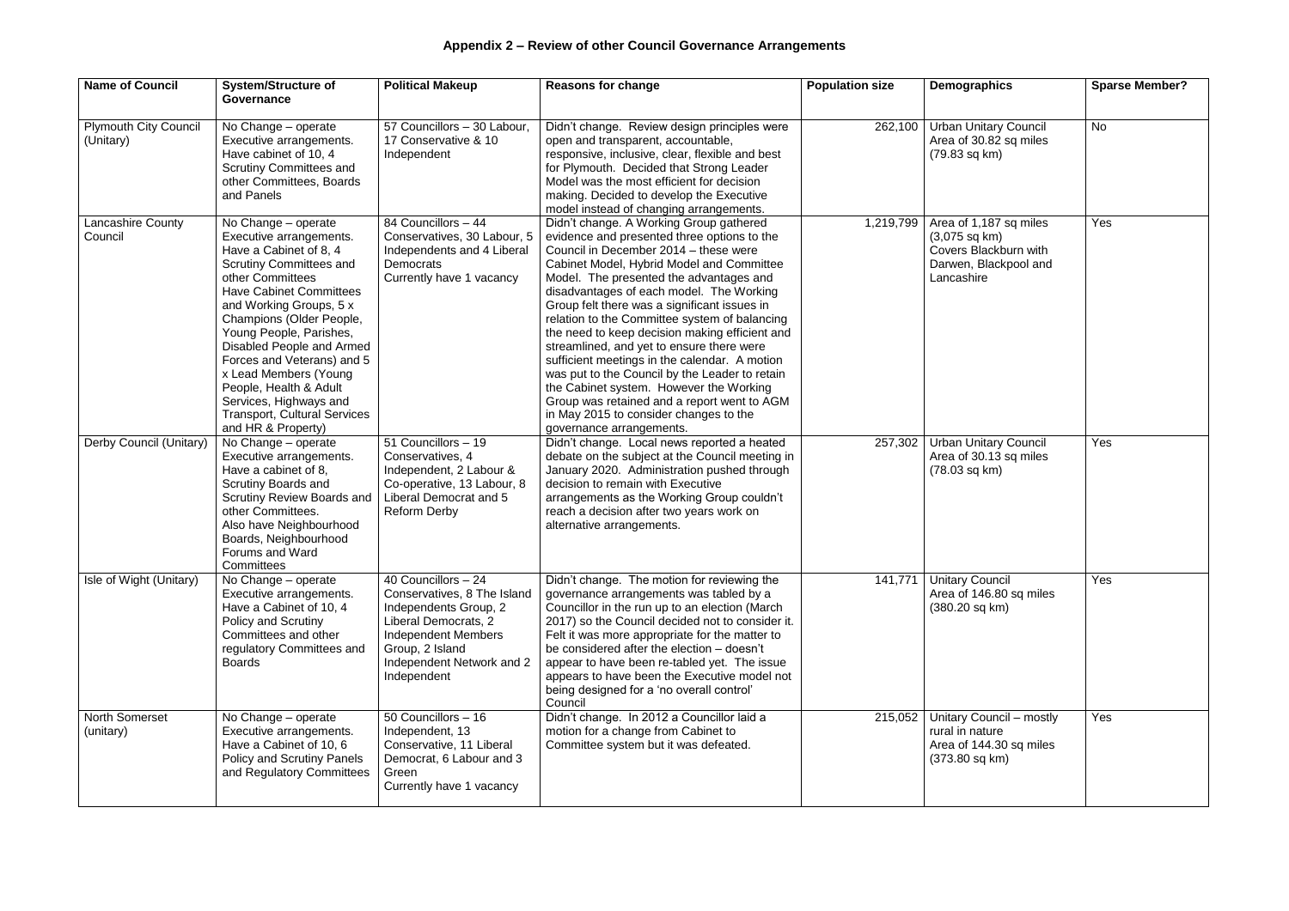| <b>Name of Council</b>                    | <b>System/Structure of</b><br>Governance                                                                                                                                                                                                                                                                                                                                                                                                                | <b>Political Makeup</b>                                                                                                                                                                          | <b>Reasons for change</b>                                                                                                                                                                                                                                                                                                                                                                                                                                                                                                                                                                                                                                                                                                              | <b>Population size</b> | Demographics                                                                                                      | <b>Sparse Member?</b> |
|-------------------------------------------|---------------------------------------------------------------------------------------------------------------------------------------------------------------------------------------------------------------------------------------------------------------------------------------------------------------------------------------------------------------------------------------------------------------------------------------------------------|--------------------------------------------------------------------------------------------------------------------------------------------------------------------------------------------------|----------------------------------------------------------------------------------------------------------------------------------------------------------------------------------------------------------------------------------------------------------------------------------------------------------------------------------------------------------------------------------------------------------------------------------------------------------------------------------------------------------------------------------------------------------------------------------------------------------------------------------------------------------------------------------------------------------------------------------------|------------------------|-------------------------------------------------------------------------------------------------------------------|-----------------------|
| <b>Plymouth City Council</b><br>(Unitary) | No Change - operate<br>Executive arrangements.<br>Have cabinet of 10, 4<br><b>Scrutiny Committees and</b><br>other Committees, Boards<br>and Panels                                                                                                                                                                                                                                                                                                     | 57 Councillors - 30 Labour,<br>17 Conservative & 10<br>Independent                                                                                                                               | Didn't change. Review design principles were<br>open and transparent, accountable,<br>responsive, inclusive, clear, flexible and best<br>for Plymouth. Decided that Strong Leader<br>Model was the most efficient for decision<br>making. Decided to develop the Executive<br>model instead of changing arrangements.                                                                                                                                                                                                                                                                                                                                                                                                                  | 262,100                | <b>Urban Unitary Council</b><br>Area of 30.82 sq miles<br>(79.83 sq km)                                           | <b>No</b>             |
| Lancashire County<br>Council              | No Change - operate<br>Executive arrangements.<br>Have a Cabinet of 8, 4<br><b>Scrutiny Committees and</b><br>other Committees<br><b>Have Cabinet Committees</b><br>and Working Groups, 5 x<br>Champions (Older People,<br>Young People, Parishes,<br>Disabled People and Armed<br>Forces and Veterans) and 5<br>x Lead Members (Young<br>People, Health & Adult<br>Services, Highways and<br><b>Transport, Cultural Services</b><br>and HR & Property) | 84 Councillors - 44<br>Conservatives, 30 Labour, 5<br>Independents and 4 Liberal<br><b>Democrats</b><br>Currently have 1 vacancy                                                                 | Didn't change. A Working Group gathered<br>evidence and presented three options to the<br>Council in December 2014 - these were<br>Cabinet Model, Hybrid Model and Committee<br>Model. The presented the advantages and<br>disadvantages of each model. The Working<br>Group felt there was a significant issues in<br>relation to the Committee system of balancing<br>the need to keep decision making efficient and<br>streamlined, and yet to ensure there were<br>sufficient meetings in the calendar. A motion<br>was put to the Council by the Leader to retain<br>the Cabinet system. However the Working<br>Group was retained and a report went to AGM<br>in May 2015 to consider changes to the<br>governance arrangements. | 1,219,799              | Area of 1,187 sq miles<br>$(3,075 \text{ sq km})$<br>Covers Blackburn with<br>Darwen, Blackpool and<br>Lancashire | Yes                   |
| Derby Council (Unitary)                   | No Change - operate<br>Executive arrangements.<br>Have a cabinet of 8,<br>Scrutiny Boards and<br>Scrutiny Review Boards and<br>other Committees.<br>Also have Neighbourhood<br>Boards, Neighbourhood<br>Forums and Ward<br>Committees                                                                                                                                                                                                                   | 51 Councillors - 19<br>Conservatives, 4<br>Independent, 2 Labour &<br>Co-operative, 13 Labour, 8<br>Liberal Democrat and 5<br>Reform Derby                                                       | Didn't change. Local news reported a heated<br>debate on the subject at the Council meeting in<br>January 2020. Administration pushed through<br>decision to remain with Executive<br>arrangements as the Working Group couldn't<br>reach a decision after two years work on<br>alternative arrangements.                                                                                                                                                                                                                                                                                                                                                                                                                              | 257,302                | <b>Urban Unitary Council</b><br>Area of 30.13 sq miles<br>$(78.03 \text{ sq km})$                                 | Yes                   |
| Isle of Wight (Unitary)                   | No Change - operate<br>Executive arrangements.<br>Have a Cabinet of 10, 4<br>Policy and Scrutiny<br>Committees and other<br>regulatory Committees and<br><b>Boards</b>                                                                                                                                                                                                                                                                                  | 40 Councillors - 24<br>Conservatives, 8 The Island<br>Independents Group, 2<br>Liberal Democrats, 2<br><b>Independent Members</b><br>Group, 2 Island<br>Independent Network and 2<br>Independent | Didn't change. The motion for reviewing the<br>governance arrangements was tabled by a<br>Councillor in the run up to an election (March<br>2017) so the Council decided not to consider it.<br>Felt it was more appropriate for the matter to<br>be considered after the election - doesn't<br>appear to have been re-tabled yet. The issue<br>appears to have been the Executive model not<br>being designed for a 'no overall control'<br>Council                                                                                                                                                                                                                                                                                   | 141,771                | <b>Unitary Council</b><br>Area of 146.80 sq miles<br>$(380.20 \text{ sq km})$                                     | Yes                   |
| <b>North Somerset</b><br>(unitary)        | No Change - operate<br>Executive arrangements.<br>Have a Cabinet of 10, 6<br>Policy and Scrutiny Panels<br>and Regulatory Committees                                                                                                                                                                                                                                                                                                                    | 50 Councillors - 16<br>Independent, 13<br>Conservative, 11 Liberal<br>Democrat, 6 Labour and 3<br>Green<br>Currently have 1 vacancy                                                              | Didn't change. In 2012 a Councillor laid a<br>motion for a change from Cabinet to<br>Committee system but it was defeated.                                                                                                                                                                                                                                                                                                                                                                                                                                                                                                                                                                                                             | 215,052                | Unitary Council - mostly<br>rural in nature<br>Area of 144.30 sq miles<br>$(373.80 \text{ sq km})$                | Yes                   |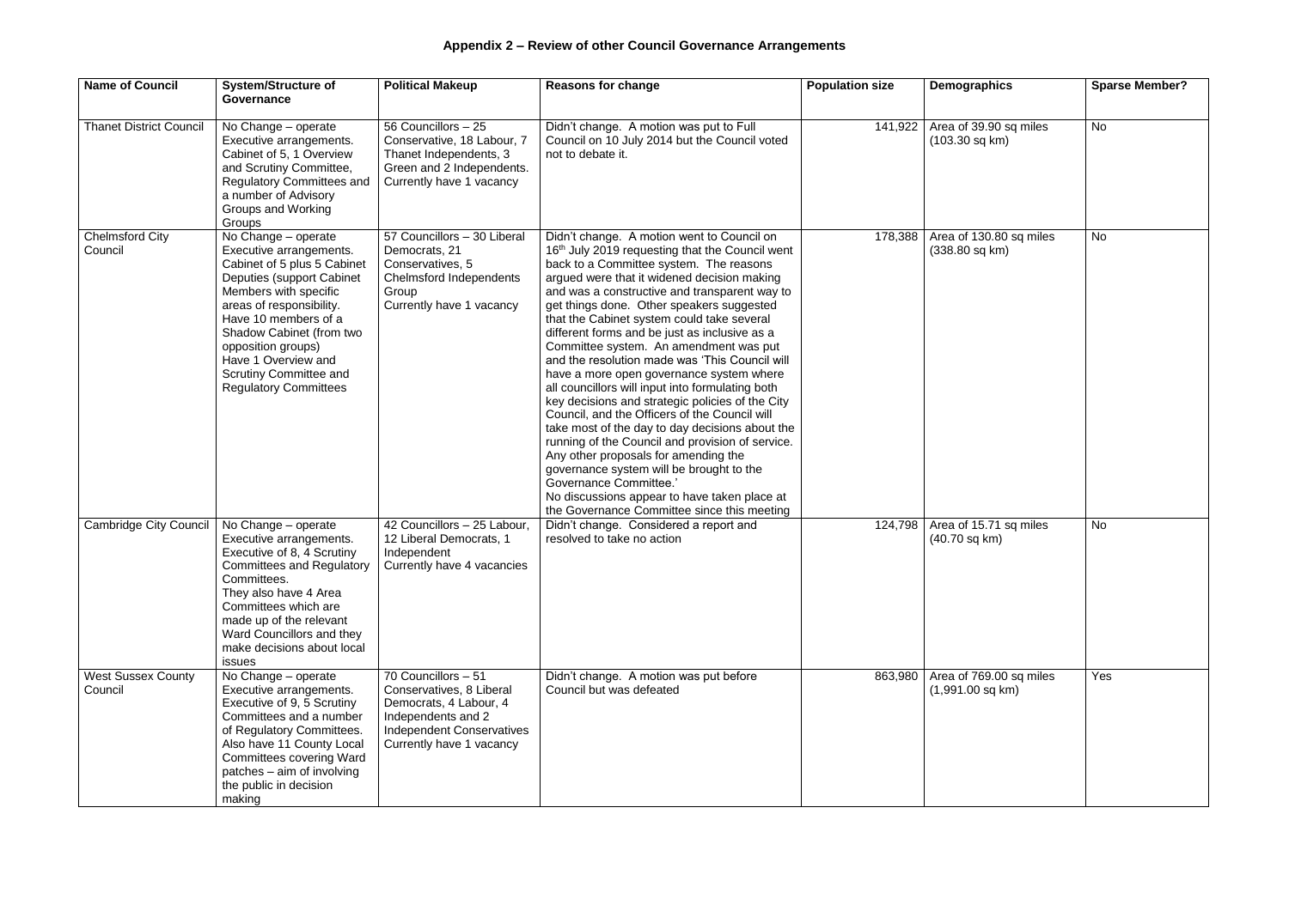| <b>Name of Council</b>               | <b>System/Structure of</b><br>Governance                                                                                                                                                                                                                                                                                          | <b>Political Makeup</b>                                                                                                                                         | <b>Reasons for change</b>                                                                                                                                                                                                                                                                                                                                                                                                                                                                                                                                                                                                                                                                                                                                                                                                                                                                                                                                                                                        | <b>Population size</b> | <b>Demographics</b>                                     | <b>Sparse Member?</b> |
|--------------------------------------|-----------------------------------------------------------------------------------------------------------------------------------------------------------------------------------------------------------------------------------------------------------------------------------------------------------------------------------|-----------------------------------------------------------------------------------------------------------------------------------------------------------------|------------------------------------------------------------------------------------------------------------------------------------------------------------------------------------------------------------------------------------------------------------------------------------------------------------------------------------------------------------------------------------------------------------------------------------------------------------------------------------------------------------------------------------------------------------------------------------------------------------------------------------------------------------------------------------------------------------------------------------------------------------------------------------------------------------------------------------------------------------------------------------------------------------------------------------------------------------------------------------------------------------------|------------------------|---------------------------------------------------------|-----------------------|
| <b>Thanet District Council</b>       | No Change - operate<br>Executive arrangements.<br>Cabinet of 5, 1 Overview<br>and Scrutiny Committee,<br><b>Regulatory Committees and</b><br>a number of Advisory<br><b>Groups and Working</b><br>Groups                                                                                                                          | 56 Councillors - 25<br>Conservative, 18 Labour, 7<br>Thanet Independents, 3<br>Green and 2 Independents.<br>Currently have 1 vacancy                            | Didn't change. A motion was put to Full<br>Council on 10 July 2014 but the Council voted<br>not to debate it.                                                                                                                                                                                                                                                                                                                                                                                                                                                                                                                                                                                                                                                                                                                                                                                                                                                                                                    | 141,922                | Area of 39.90 sq miles<br>$(103.30$ sq km $)$           | <b>No</b>             |
| <b>Chelmsford City</b><br>Council    | No Change - operate<br>Executive arrangements.<br>Cabinet of 5 plus 5 Cabinet<br>Deputies (support Cabinet<br>Members with specific<br>areas of responsibility.<br>Have 10 members of a<br>Shadow Cabinet (from two<br>opposition groups)<br>Have 1 Overview and<br><b>Scrutiny Committee and</b><br><b>Regulatory Committees</b> | 57 Councillors - 30 Liberal<br>Democrats, 21<br>Conservatives, 5<br><b>Chelmsford Independents</b><br>Group<br>Currently have 1 vacancy                         | Didn't change. A motion went to Council on<br>16th July 2019 requesting that the Council went<br>back to a Committee system. The reasons<br>argued were that it widened decision making<br>and was a constructive and transparent way to<br>get things done. Other speakers suggested<br>that the Cabinet system could take several<br>different forms and be just as inclusive as a<br>Committee system. An amendment was put<br>and the resolution made was 'This Council will<br>have a more open governance system where<br>all councillors will input into formulating both<br>key decisions and strategic policies of the City<br>Council, and the Officers of the Council will<br>take most of the day to day decisions about the<br>running of the Council and provision of service.<br>Any other proposals for amending the<br>governance system will be brought to the<br><b>Governance Committee.'</b><br>No discussions appear to have taken place at<br>the Governance Committee since this meeting | 178,388                | Area of 130.80 sq miles<br>$(338.80 \text{ sq km})$     | <b>No</b>             |
| <b>Cambridge City Council</b>        | No Change - operate<br>Executive arrangements.<br>Executive of 8, 4 Scrutiny<br><b>Committees and Regulatory</b><br>Committees.<br>They also have 4 Area<br>Committees which are<br>made up of the relevant<br>Ward Councillors and they<br>make decisions about local<br>issues                                                  | $\overline{42}$ Councillors - 25 Labour,<br>12 Liberal Democrats, 1<br>Independent<br>Currently have 4 vacancies                                                | Didn't change. Considered a report and<br>resolved to take no action                                                                                                                                                                                                                                                                                                                                                                                                                                                                                                                                                                                                                                                                                                                                                                                                                                                                                                                                             | 124,798                | Area of 15.71 sq miles<br>(40.70 sq km)                 | <b>No</b>             |
| <b>West Sussex County</b><br>Council | No Change - operate<br>Executive arrangements.<br>Executive of 9, 5 Scrutiny<br>Committees and a number<br>of Regulatory Committees.<br>Also have 11 County Local<br>Committees covering Ward<br>patches - aim of involving<br>the public in decision<br>making                                                                   | 70 Councillors - 51<br>Conservatives, 8 Liberal<br>Democrats, 4 Labour, 4<br>Independents and 2<br><b>Independent Conservatives</b><br>Currently have 1 vacancy | Didn't change. A motion was put before<br>Council but was defeated                                                                                                                                                                                                                                                                                                                                                                                                                                                                                                                                                                                                                                                                                                                                                                                                                                                                                                                                               |                        | 863,980   Area of 769.00 sq miles<br>$(1,991.00$ sq km) | Yes                   |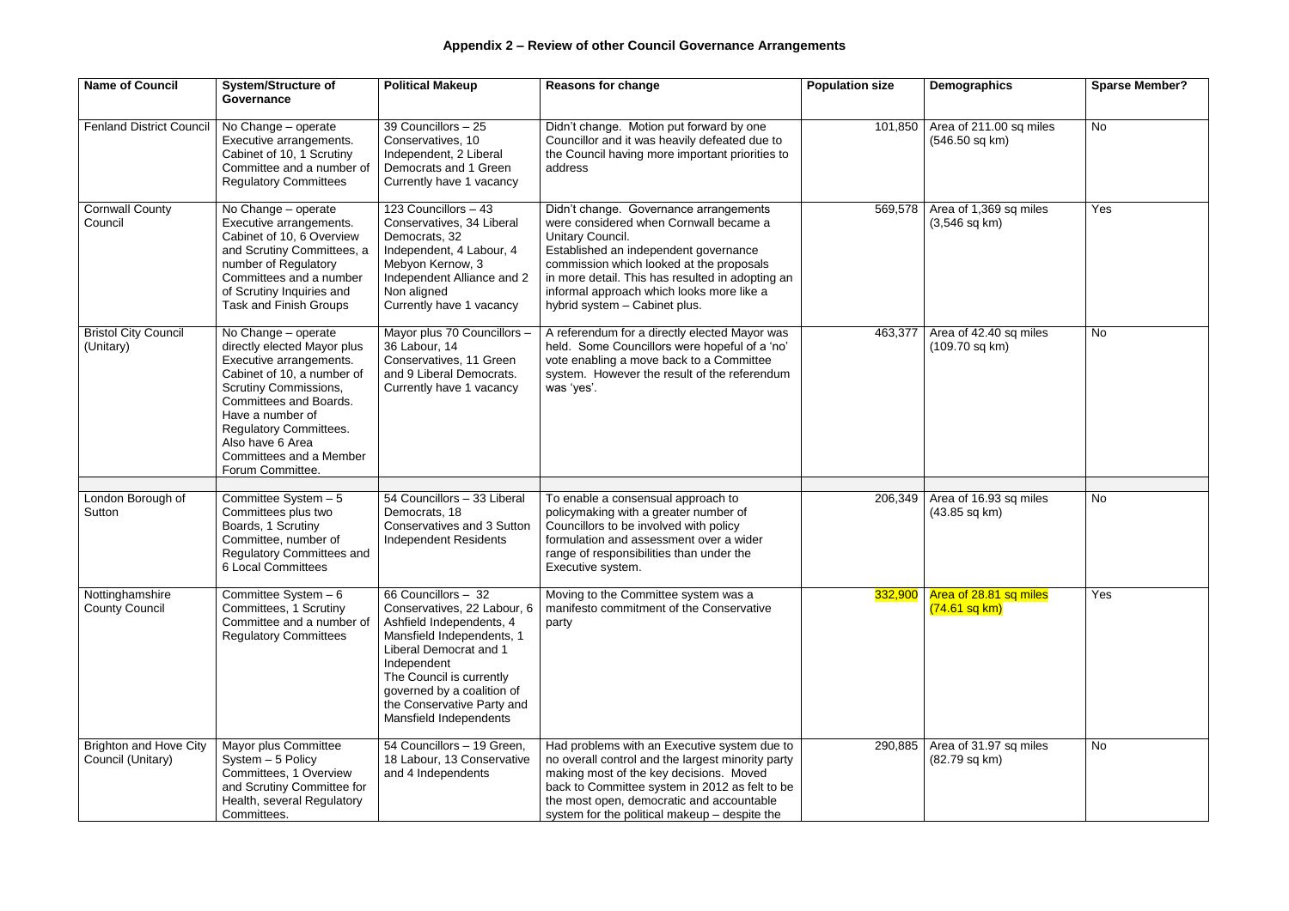| <b>Name of Council</b>                             | <b>System/Structure of</b><br>Governance                                                                                                                                                                                                                                                             | <b>Political Makeup</b>                                                                                                                                                                                                                                                 | <b>Reasons for change</b>                                                                                                                                                                                                                                                                                                          | <b>Population size</b> | Demographics                                      | <b>Sparse Member?</b> |
|----------------------------------------------------|------------------------------------------------------------------------------------------------------------------------------------------------------------------------------------------------------------------------------------------------------------------------------------------------------|-------------------------------------------------------------------------------------------------------------------------------------------------------------------------------------------------------------------------------------------------------------------------|------------------------------------------------------------------------------------------------------------------------------------------------------------------------------------------------------------------------------------------------------------------------------------------------------------------------------------|------------------------|---------------------------------------------------|-----------------------|
| <b>Fenland District Council</b>                    | No Change - operate<br>Executive arrangements.<br>Cabinet of 10, 1 Scrutiny<br>Committee and a number of<br><b>Regulatory Committees</b>                                                                                                                                                             | 39 Councillors - 25<br>Conservatives, 10<br>Independent, 2 Liberal<br>Democrats and 1 Green<br>Currently have 1 vacancy                                                                                                                                                 | Didn't change. Motion put forward by one<br>Councillor and it was heavily defeated due to<br>the Council having more important priorities to<br>address                                                                                                                                                                            | 101,850                | Area of 211.00 sq miles<br>$(546.50$ sq km)       | No                    |
| <b>Cornwall County</b><br>Council                  | No Change - operate<br>Executive arrangements.<br>Cabinet of 10, 6 Overview<br>and Scrutiny Committees, a<br>number of Regulatory<br>Committees and a number<br>of Scrutiny Inquiries and<br>Task and Finish Groups                                                                                  | 123 Councillors - 43<br>Conservatives, 34 Liberal<br>Democrats, 32<br>Independent, 4 Labour, 4<br>Mebyon Kernow, 3<br>Independent Alliance and 2<br>Non aligned<br>Currently have 1 vacancy                                                                             | Didn't change. Governance arrangements<br>were considered when Cornwall became a<br><b>Unitary Council.</b><br>Established an independent governance<br>commission which looked at the proposals<br>in more detail. This has resulted in adopting an<br>informal approach which looks more like a<br>hybrid system - Cabinet plus. | 569,578                | Area of 1,369 sq miles<br>$(3,546$ sq km)         | Yes                   |
| <b>Bristol City Council</b><br>(Unitary)           | No Change - operate<br>directly elected Mayor plus<br>Executive arrangements.<br>Cabinet of 10, a number of<br><b>Scrutiny Commissions,</b><br><b>Committees and Boards.</b><br>Have a number of<br><b>Regulatory Committees.</b><br>Also have 6 Area<br>Committees and a Member<br>Forum Committee. | Mayor plus 70 Councillors -<br>36 Labour, 14<br>Conservatives, 11 Green<br>and 9 Liberal Democrats.<br>Currently have 1 vacancy                                                                                                                                         | A referendum for a directly elected Mayor was<br>held. Some Councillors were hopeful of a 'no'<br>vote enabling a move back to a Committee<br>system. However the result of the referendum<br>was 'yes'.                                                                                                                           | 463,377                | Area of 42.40 sq miles<br>$(109.70$ sq km)        | <b>No</b>             |
|                                                    |                                                                                                                                                                                                                                                                                                      |                                                                                                                                                                                                                                                                         |                                                                                                                                                                                                                                                                                                                                    |                        |                                                   |                       |
| London Borough of<br>Sutton                        | Committee System $-5$<br>Committees plus two<br>Boards, 1 Scrutiny<br>Committee, number of<br><b>Regulatory Committees and</b><br><b>6 Local Committees</b>                                                                                                                                          | 54 Councillors - 33 Liberal<br>Democrats, 18<br><b>Conservatives and 3 Sutton</b><br><b>Independent Residents</b>                                                                                                                                                       | To enable a consensual approach to<br>policymaking with a greater number of<br>Councillors to be involved with policy<br>formulation and assessment over a wider<br>range of responsibilities than under the<br>Executive system.                                                                                                  | 206,349                | Area of 16.93 sq miles<br>$(43.85 \text{ sq km})$ | <b>No</b>             |
| Nottinghamshire<br><b>County Council</b>           | Committee System - 6<br>Committees, 1 Scrutiny<br>Committee and a number of<br><b>Regulatory Committees</b>                                                                                                                                                                                          | 66 Councillors $-32$<br>Conservatives, 22 Labour, 6<br>Ashfield Independents, 4<br>Mansfield Independents, 1<br>Liberal Democrat and 1<br>Independent<br>The Council is currently<br>governed by a coalition of<br>the Conservative Party and<br>Mansfield Independents | Moving to the Committee system was a<br>manifesto commitment of the Conservative<br>party                                                                                                                                                                                                                                          | 332,900                | Area of 28.81 sq miles<br>$(74.61$ sq km)         | Yes                   |
| <b>Brighton and Hove City</b><br>Council (Unitary) | Mayor plus Committee<br>System - 5 Policy<br>Committees, 1 Overview<br>and Scrutiny Committee for<br>Health, several Regulatory<br>Committees.                                                                                                                                                       | 54 Councillors - 19 Green,<br>18 Labour, 13 Conservative<br>and 4 Independents                                                                                                                                                                                          | Had problems with an Executive system due to<br>no overall control and the largest minority party<br>making most of the key decisions. Moved<br>back to Committee system in 2012 as felt to be<br>the most open, democratic and accountable<br>system for the political makeup - despite the                                       | 290,885                | Area of 31.97 sq miles<br>(82.79 sq km)           | No                    |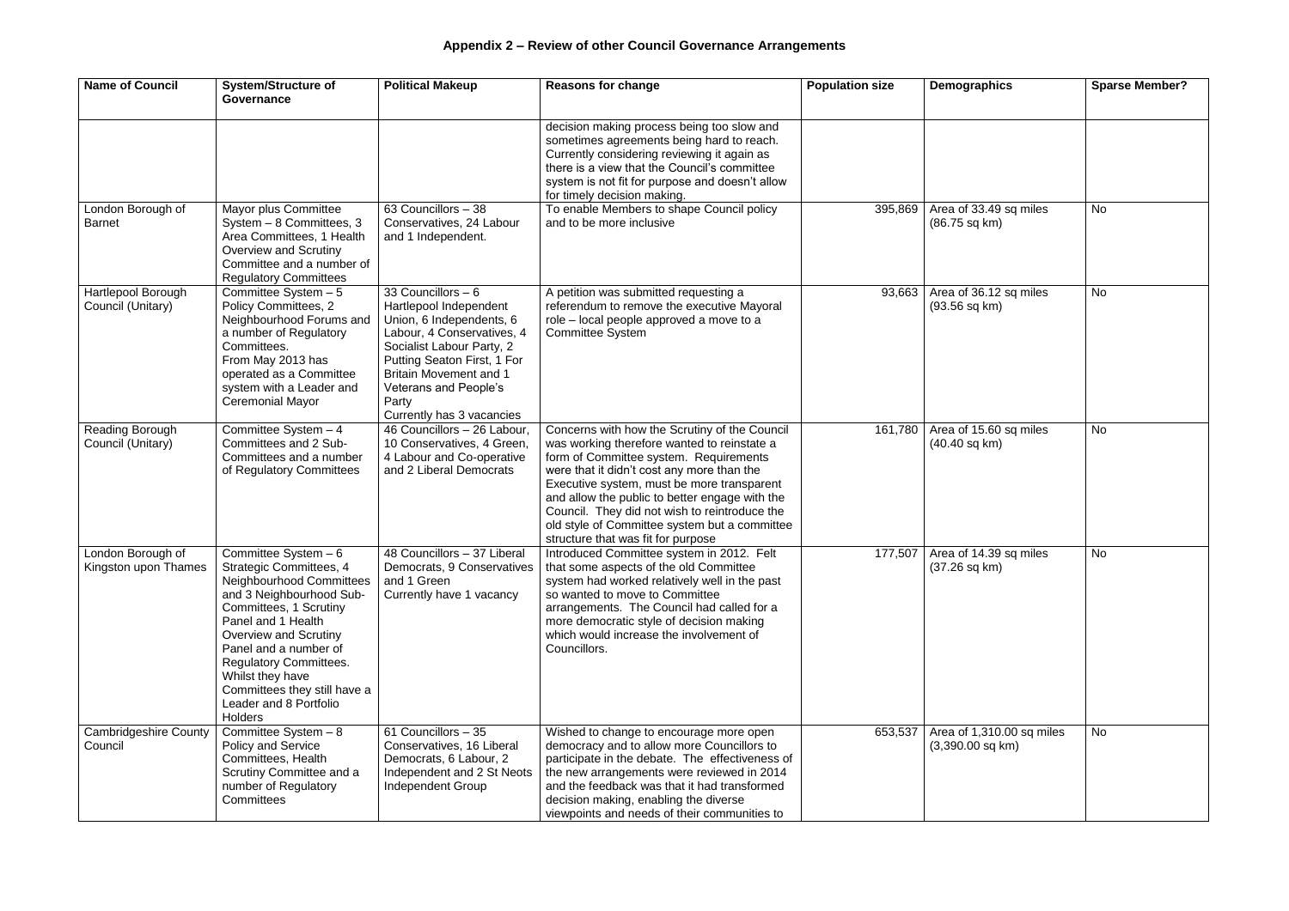| <b>Name of Council</b>                    | <b>System/Structure of</b><br>Governance                                                                                                                                                                                                                                                                                                          | <b>Political Makeup</b>                                                                                                                                                                                                                                            | <b>Reasons for change</b>                                                                                                                                                                                                                                                                                                                                                                                                    | <b>Population size</b> | <b>Demographics</b>                                    | <b>Sparse Member?</b> |
|-------------------------------------------|---------------------------------------------------------------------------------------------------------------------------------------------------------------------------------------------------------------------------------------------------------------------------------------------------------------------------------------------------|--------------------------------------------------------------------------------------------------------------------------------------------------------------------------------------------------------------------------------------------------------------------|------------------------------------------------------------------------------------------------------------------------------------------------------------------------------------------------------------------------------------------------------------------------------------------------------------------------------------------------------------------------------------------------------------------------------|------------------------|--------------------------------------------------------|-----------------------|
|                                           |                                                                                                                                                                                                                                                                                                                                                   |                                                                                                                                                                                                                                                                    | decision making process being too slow and<br>sometimes agreements being hard to reach.<br>Currently considering reviewing it again as<br>there is a view that the Council's committee<br>system is not fit for purpose and doesn't allow<br>for timely decision making.                                                                                                                                                     |                        |                                                        |                       |
| London Borough of<br><b>Barnet</b>        | Mayor plus Committee<br>System - 8 Committees, 3<br>Area Committees, 1 Health<br>Overview and Scrutiny<br>Committee and a number of<br><b>Regulatory Committees</b>                                                                                                                                                                               | 63 Councillors - 38<br>Conservatives, 24 Labour<br>and 1 Independent.                                                                                                                                                                                              | To enable Members to shape Council policy<br>and to be more inclusive                                                                                                                                                                                                                                                                                                                                                        |                        | 395,869   Area of 33.49 sq miles<br>(86.75 sq km)      | <b>No</b>             |
| Hartlepool Borough<br>Council (Unitary)   | Committee System - 5<br>Policy Committees, 2<br>Neighbourhood Forums and<br>a number of Regulatory<br>Committees.<br>From May 2013 has<br>operated as a Committee<br>system with a Leader and<br><b>Ceremonial Mayor</b>                                                                                                                          | 33 Councillors - 6<br>Hartlepool Independent<br>Union, 6 Independents, 6<br>Labour, 4 Conservatives, 4<br>Socialist Labour Party, 2<br>Putting Seaton First, 1 For<br><b>Britain Movement and 1</b><br>Veterans and People's<br>Party<br>Currently has 3 vacancies | A petition was submitted requesting a<br>referendum to remove the executive Mayoral<br>role - local people approved a move to a<br><b>Committee System</b>                                                                                                                                                                                                                                                                   | 93,663                 | Area of 36.12 sq miles<br>$(93.56$ sq km)              | <b>No</b>             |
| Reading Borough<br>Council (Unitary)      | Committee System $-4$<br>Committees and 2 Sub-<br>Committees and a number<br>of Regulatory Committees                                                                                                                                                                                                                                             | 46 Councillors - 26 Labour,<br>10 Conservatives, 4 Green,<br>4 Labour and Co-operative<br>and 2 Liberal Democrats                                                                                                                                                  | Concerns with how the Scrutiny of the Council<br>was working therefore wanted to reinstate a<br>form of Committee system. Requirements<br>were that it didn't cost any more than the<br>Executive system, must be more transparent<br>and allow the public to better engage with the<br>Council. They did not wish to reintroduce the<br>old style of Committee system but a committee<br>structure that was fit for purpose | 161,780                | Area of 15.60 sq miles<br>$(40.40$ sq km $)$           | <b>No</b>             |
| London Borough of<br>Kingston upon Thames | Committee System - 6<br><b>Strategic Committees, 4</b><br>Neighbourhood Committees<br>and 3 Neighbourhood Sub-<br>Committees, 1 Scrutiny<br>Panel and 1 Health<br><b>Overview and Scrutiny</b><br>Panel and a number of<br><b>Regulatory Committees.</b><br>Whilst they have<br>Committees they still have a<br>Leader and 8 Portfolio<br>Holders | 48 Councillors - 37 Liberal<br>Democrats, 9 Conservatives<br>and 1 Green<br>Currently have 1 vacancy                                                                                                                                                               | Introduced Committee system in 2012. Felt<br>that some aspects of the old Committee<br>system had worked relatively well in the past<br>so wanted to move to Committee<br>arrangements. The Council had called for a<br>more democratic style of decision making<br>which would increase the involvement of<br>Councillors.                                                                                                  |                        | 177,507   Area of 14.39 sq miles<br>$(37.26$ sq km $)$ | <b>No</b>             |
| <b>Cambridgeshire County</b><br>Council   | Committee System - 8<br><b>Policy and Service</b><br>Committees, Health<br>Scrutiny Committee and a<br>number of Regulatory<br>Committees                                                                                                                                                                                                         | 61 Councillors - 35<br>Conservatives, 16 Liberal<br>Democrats, 6 Labour, 2<br>Independent and 2 St Neots<br>Independent Group                                                                                                                                      | Wished to change to encourage more open<br>democracy and to allow more Councillors to<br>participate in the debate. The effectiveness of<br>the new arrangements were reviewed in 2014<br>and the feedback was that it had transformed<br>decision making, enabling the diverse<br>viewpoints and needs of their communities to                                                                                              | 653,537                | Area of 1,310.00 sq miles<br>$(3,390.00$ sq km)        | <b>No</b>             |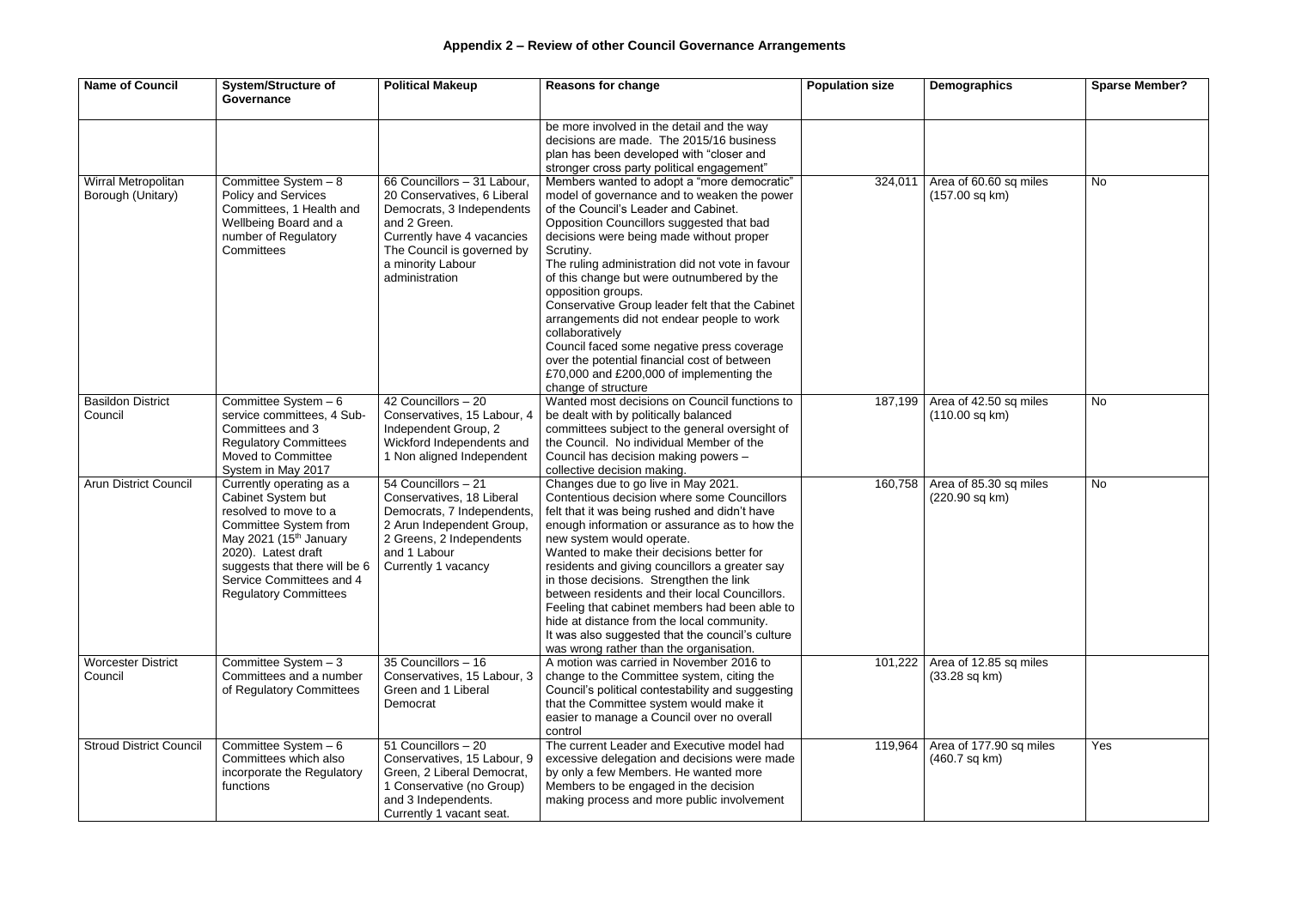| <b>Name of Council</b>                   | <b>System/Structure of</b><br>Governance                                                                                                                                                                                                                   | <b>Political Makeup</b>                                                                                                                                                                                    | <b>Reasons for change</b>                                                                                                                                                                                                                                                                                                                                                                                                                                                                                                                                                                                                                             | <b>Population size</b> | <b>Demographics</b>                                       | <b>Sparse Member?</b> |
|------------------------------------------|------------------------------------------------------------------------------------------------------------------------------------------------------------------------------------------------------------------------------------------------------------|------------------------------------------------------------------------------------------------------------------------------------------------------------------------------------------------------------|-------------------------------------------------------------------------------------------------------------------------------------------------------------------------------------------------------------------------------------------------------------------------------------------------------------------------------------------------------------------------------------------------------------------------------------------------------------------------------------------------------------------------------------------------------------------------------------------------------------------------------------------------------|------------------------|-----------------------------------------------------------|-----------------------|
|                                          |                                                                                                                                                                                                                                                            |                                                                                                                                                                                                            | be more involved in the detail and the way<br>decisions are made. The 2015/16 business<br>plan has been developed with "closer and<br>stronger cross party political engagement"                                                                                                                                                                                                                                                                                                                                                                                                                                                                      |                        |                                                           |                       |
| Wirral Metropolitan<br>Borough (Unitary) | Committee System $-8$<br><b>Policy and Services</b><br>Committees, 1 Health and<br>Wellbeing Board and a<br>number of Regulatory<br>Committees                                                                                                             | 66 Councillors - 31 Labour,<br>20 Conservatives, 6 Liberal<br>Democrats, 3 Independents<br>and 2 Green.<br>Currently have 4 vacancies<br>The Council is governed by<br>a minority Labour<br>administration | Members wanted to adopt a "more democratic"<br>model of governance and to weaken the power<br>of the Council's Leader and Cabinet.<br>Opposition Councillors suggested that bad<br>decisions were being made without proper<br>Scrutiny.<br>The ruling administration did not vote in favour<br>of this change but were outnumbered by the<br>opposition groups.<br>Conservative Group leader felt that the Cabinet<br>arrangements did not endear people to work<br>collaboratively<br>Council faced some negative press coverage<br>over the potential financial cost of between<br>£70,000 and £200,000 of implementing the<br>change of structure | 324,011                | Area of 60.60 sq miles<br>$(157.00$ sq km)                | <b>No</b>             |
| <b>Basildon District</b><br>Council      | Committee System - 6<br>service committees, 4 Sub-<br>Committees and 3<br><b>Regulatory Committees</b><br>Moved to Committee<br>System in May 2017                                                                                                         | 42 Councillors - 20<br>Conservatives, 15 Labour, 4<br>Independent Group, 2<br>Wickford Independents and<br>1 Non aligned Independent                                                                       | Wanted most decisions on Council functions to<br>be dealt with by politically balanced<br>committees subject to the general oversight of<br>the Council. No individual Member of the<br>Council has decision making powers -<br>collective decision making.                                                                                                                                                                                                                                                                                                                                                                                           | 187,199                | Area of 42.50 sq miles<br>$(110.00$ sq km $)$             | <b>No</b>             |
| <b>Arun District Council</b>             | Currently operating as a<br>Cabinet System but<br>resolved to move to a<br>Committee System from<br>May 2021 (15 <sup>th</sup> January<br>2020). Latest draft<br>suggests that there will be 6<br>Service Committees and 4<br><b>Regulatory Committees</b> | 54 Councillors - 21<br>Conservatives, 18 Liberal<br>Democrats, 7 Independents,<br>2 Arun Independent Group,<br>2 Greens, 2 Independents<br>and 1 Labour<br>Currently 1 vacancy                             | Changes due to go live in May 2021.<br>Contentious decision where some Councillors<br>felt that it was being rushed and didn't have<br>enough information or assurance as to how the<br>new system would operate.<br>Wanted to make their decisions better for<br>residents and giving councillors a greater say<br>in those decisions. Strengthen the link<br>between residents and their local Councillors.<br>Feeling that cabinet members had been able to<br>hide at distance from the local community.<br>It was also suggested that the council's culture<br>was wrong rather than the organisation.                                           | 160,758                | Area of 85.30 sq miles<br>(220.90 sq km)                  | <b>No</b>             |
| <b>Worcester District</b><br>Council     | Committee System - 3<br>Committees and a number<br>of Regulatory Committees                                                                                                                                                                                | 35 Councillors - 16<br>Conservatives, 15 Labour, 3<br>Green and 1 Liberal<br>Democrat                                                                                                                      | A motion was carried in November 2016 to<br>change to the Committee system, citing the<br>Council's political contestability and suggesting<br>that the Committee system would make it<br>easier to manage a Council over no overall<br>control                                                                                                                                                                                                                                                                                                                                                                                                       |                        | 101,222 Area of 12.85 sq miles<br>$(33.28 \text{ sq km})$ |                       |
| <b>Stroud District Council</b>           | Committee System - 6<br>Committees which also<br>incorporate the Regulatory<br>functions                                                                                                                                                                   | 51 Councillors - 20<br>Conservatives, 15 Labour, 9<br>Green, 2 Liberal Democrat,<br>1 Conservative (no Group)<br>and 3 Independents.<br>Currently 1 vacant seat.                                           | The current Leader and Executive model had<br>excessive delegation and decisions were made<br>by only a few Members. He wanted more<br>Members to be engaged in the decision<br>making process and more public involvement                                                                                                                                                                                                                                                                                                                                                                                                                            | 119,964                | Area of 177.90 sq miles<br>$(460.7 \text{ sq km})$        | Yes                   |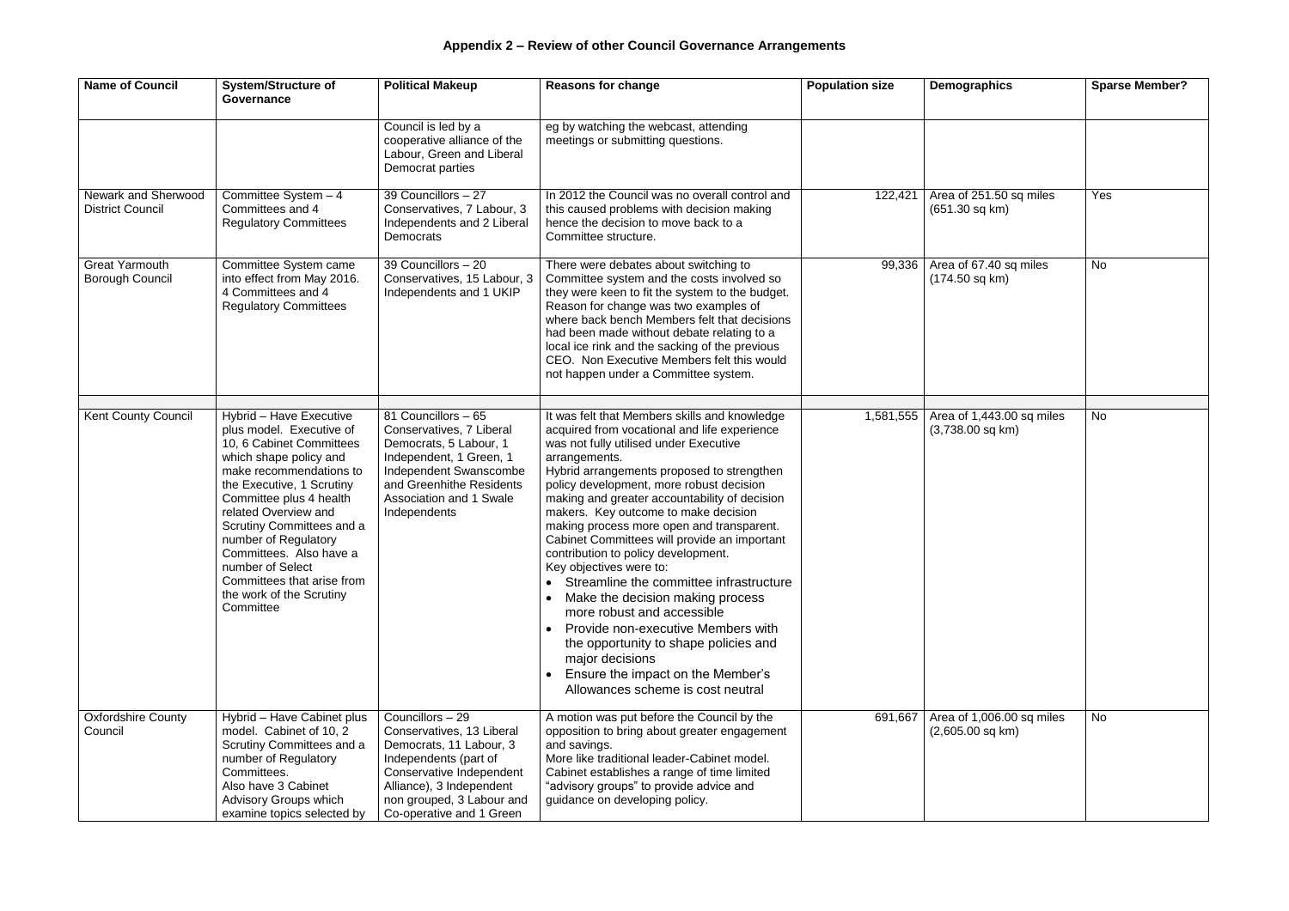| <b>Name of Council</b>                          | <b>System/Structure of</b><br>Governance                                                                                                                                                                                                                                                                                                                                                        | <b>Political Makeup</b>                                                                                                                                                                                            | <b>Reasons for change</b>                                                                                                                                                                                                                                                                                                                                                                                                                                                                                                                                                                                                                                                                                                                                                                           | <b>Population size</b> | Demographics                                    | <b>Sparse Member?</b> |
|-------------------------------------------------|-------------------------------------------------------------------------------------------------------------------------------------------------------------------------------------------------------------------------------------------------------------------------------------------------------------------------------------------------------------------------------------------------|--------------------------------------------------------------------------------------------------------------------------------------------------------------------------------------------------------------------|-----------------------------------------------------------------------------------------------------------------------------------------------------------------------------------------------------------------------------------------------------------------------------------------------------------------------------------------------------------------------------------------------------------------------------------------------------------------------------------------------------------------------------------------------------------------------------------------------------------------------------------------------------------------------------------------------------------------------------------------------------------------------------------------------------|------------------------|-------------------------------------------------|-----------------------|
|                                                 |                                                                                                                                                                                                                                                                                                                                                                                                 | Council is led by a<br>cooperative alliance of the<br>Labour, Green and Liberal<br>Democrat parties                                                                                                                | eg by watching the webcast, attending<br>meetings or submitting questions.                                                                                                                                                                                                                                                                                                                                                                                                                                                                                                                                                                                                                                                                                                                          |                        |                                                 |                       |
| Newark and Sherwood<br><b>District Council</b>  | Committee System - 4<br>Committees and 4<br><b>Regulatory Committees</b>                                                                                                                                                                                                                                                                                                                        | 39 Councillors - 27<br>Conservatives, 7 Labour, 3<br>Independents and 2 Liberal<br>Democrats                                                                                                                       | In 2012 the Council was no overall control and<br>this caused problems with decision making<br>hence the decision to move back to a<br>Committee structure.                                                                                                                                                                                                                                                                                                                                                                                                                                                                                                                                                                                                                                         | 122,421                | Area of 251.50 sq miles<br>$(651.30$ sq km)     | Yes                   |
| <b>Great Yarmouth</b><br><b>Borough Council</b> | Committee System came<br>into effect from May 2016.<br>4 Committees and 4<br><b>Regulatory Committees</b>                                                                                                                                                                                                                                                                                       | 39 Councillors - 20<br>Conservatives, 15 Labour, 3<br>Independents and 1 UKIP                                                                                                                                      | There were debates about switching to<br>Committee system and the costs involved so<br>they were keen to fit the system to the budget.<br>Reason for change was two examples of<br>where back bench Members felt that decisions<br>had been made without debate relating to a<br>local ice rink and the sacking of the previous<br>CEO. Non Executive Members felt this would<br>not happen under a Committee system.                                                                                                                                                                                                                                                                                                                                                                               | 99,336                 | Area of 67.40 sq miles<br>$(174.50$ sq km)      | <b>No</b>             |
| <b>Kent County Council</b>                      | Hybrid - Have Executive<br>plus model. Executive of<br>10, 6 Cabinet Committees<br>which shape policy and<br>make recommendations to<br>the Executive, 1 Scrutiny<br>Committee plus 4 health<br>related Overview and<br>Scrutiny Committees and a<br>number of Regulatory<br>Committees. Also have a<br>number of Select<br>Committees that arise from<br>the work of the Scrutiny<br>Committee | 81 Councillors - 65<br>Conservatives, 7 Liberal<br>Democrats, 5 Labour, 1<br>Independent, 1 Green, 1<br>Independent Swanscombe<br>and Greenhithe Residents<br><b>Association and 1 Swale</b><br>Independents       | It was felt that Members skills and knowledge<br>acquired from vocational and life experience<br>was not fully utilised under Executive<br>arrangements.<br>Hybrid arrangements proposed to strengthen<br>policy development, more robust decision<br>making and greater accountability of decision<br>makers. Key outcome to make decision<br>making process more open and transparent.<br>Cabinet Committees will provide an important<br>contribution to policy development.<br>Key objectives were to:<br>Streamline the committee infrastructure<br>Make the decision making process<br>more robust and accessible<br>Provide non-executive Members with<br>the opportunity to shape policies and<br>major decisions<br>Ensure the impact on the Member's<br>Allowances scheme is cost neutral | 1,581,555              | Area of 1,443.00 sq miles<br>$(3,738.00$ sq km) | <b>No</b>             |
| <b>Oxfordshire County</b><br>Council            | Hybrid - Have Cabinet plus<br>model. Cabinet of 10, 2<br>Scrutiny Committees and a<br>number of Regulatory<br>Committees.<br>Also have 3 Cabinet<br>Advisory Groups which<br>examine topics selected by                                                                                                                                                                                         | Councillors - 29<br>Conservatives, 13 Liberal<br>Democrats, 11 Labour, 3<br>Independents (part of<br>Conservative Independent<br>Alliance), 3 Independent<br>non grouped, 3 Labour and<br>Co-operative and 1 Green | A motion was put before the Council by the<br>opposition to bring about greater engagement<br>and savings.<br>More like traditional leader-Cabinet model.<br>Cabinet establishes a range of time limited<br>"advisory groups" to provide advice and<br>guidance on developing policy.                                                                                                                                                                                                                                                                                                                                                                                                                                                                                                               | 691,667                | Area of 1,006.00 sq miles<br>$(2,605.00$ sq km) | No                    |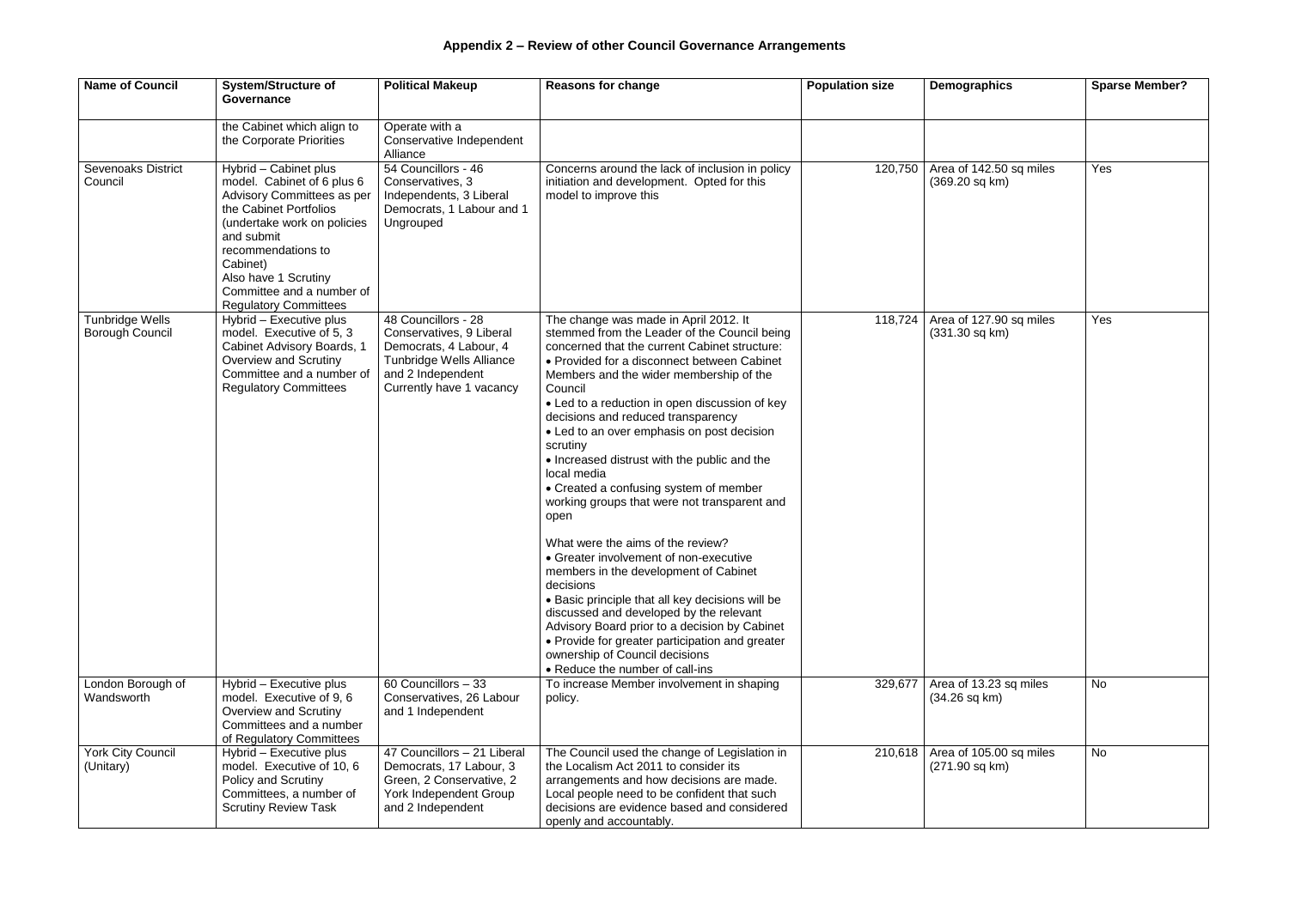## **Appendix 2 – Review of other Council Governance Arrangements**

| <b>Name of Council</b>                           | <b>System/Structure of</b><br>Governance                                                                                                                                                                                                                                        | <b>Political Makeup</b>                                                                                                                                       | <b>Reasons for change</b>                                                                                                                                                                                                                                                                                                                                                                                                                                                                                                                                                                                                                                                                                                                                                                                                                                                                                                                                                   | <b>Population size</b> | <b>Demographics</b>                                 | <b>Sparse Member?</b> |
|--------------------------------------------------|---------------------------------------------------------------------------------------------------------------------------------------------------------------------------------------------------------------------------------------------------------------------------------|---------------------------------------------------------------------------------------------------------------------------------------------------------------|-----------------------------------------------------------------------------------------------------------------------------------------------------------------------------------------------------------------------------------------------------------------------------------------------------------------------------------------------------------------------------------------------------------------------------------------------------------------------------------------------------------------------------------------------------------------------------------------------------------------------------------------------------------------------------------------------------------------------------------------------------------------------------------------------------------------------------------------------------------------------------------------------------------------------------------------------------------------------------|------------------------|-----------------------------------------------------|-----------------------|
|                                                  | the Cabinet which align to<br>the Corporate Priorities                                                                                                                                                                                                                          | Operate with a<br>Conservative Independent<br>Alliance                                                                                                        |                                                                                                                                                                                                                                                                                                                                                                                                                                                                                                                                                                                                                                                                                                                                                                                                                                                                                                                                                                             |                        |                                                     |                       |
| <b>Sevenoaks District</b><br>Council             | Hybrid - Cabinet plus<br>model. Cabinet of 6 plus 6<br>Advisory Committees as per<br>the Cabinet Portfolios<br>(undertake work on policies<br>and submit<br>recommendations to<br>Cabinet)<br>Also have 1 Scrutiny<br>Committee and a number of<br><b>Regulatory Committees</b> | 54 Councillors - 46<br>Conservatives, 3<br>Independents, 3 Liberal<br>Democrats, 1 Labour and 1<br>Ungrouped                                                  | Concerns around the lack of inclusion in policy<br>initiation and development. Opted for this<br>model to improve this                                                                                                                                                                                                                                                                                                                                                                                                                                                                                                                                                                                                                                                                                                                                                                                                                                                      | 120,750                | Area of 142.50 sq miles<br>$(369.20 \text{ sq km})$ | Yes                   |
| <b>Tunbridge Wells</b><br><b>Borough Council</b> | Hybrid - Executive plus<br>model. Executive of 5, 3<br>Cabinet Advisory Boards, 1<br>Overview and Scrutiny<br>Committee and a number of<br><b>Regulatory Committees</b>                                                                                                         | 48 Councillors - 28<br>Conservatives, 9 Liberal<br>Democrats, 4 Labour, 4<br><b>Tunbridge Wells Alliance</b><br>and 2 Independent<br>Currently have 1 vacancy | The change was made in April 2012. It<br>stemmed from the Leader of the Council being<br>concerned that the current Cabinet structure:<br>• Provided for a disconnect between Cabinet<br>Members and the wider membership of the<br>Council<br>• Led to a reduction in open discussion of key<br>decisions and reduced transparency<br>• Led to an over emphasis on post decision<br>scrutiny<br>• Increased distrust with the public and the<br>local media<br>• Created a confusing system of member<br>working groups that were not transparent and<br>open<br>What were the aims of the review?<br>• Greater involvement of non-executive<br>members in the development of Cabinet<br>decisions<br>• Basic principle that all key decisions will be<br>discussed and developed by the relevant<br>Advisory Board prior to a decision by Cabinet<br>• Provide for greater participation and greater<br>ownership of Council decisions<br>• Reduce the number of call-ins | 118,724                | Area of 127.90 sq miles<br>$(331.30 \text{ sq km})$ | Yes                   |
| London Borough of<br>Wandsworth                  | Hybrid - Executive plus<br>model. Executive of 9, 6<br>Overview and Scrutiny<br>Committees and a number<br>of Regulatory Committees                                                                                                                                             | 60 Councillors - 33<br>Conservatives, 26 Labour<br>and 1 Independent                                                                                          | To increase Member involvement in shaping<br>policy.                                                                                                                                                                                                                                                                                                                                                                                                                                                                                                                                                                                                                                                                                                                                                                                                                                                                                                                        | 329,677                | Area of 13.23 sq miles<br>$(34.26$ sq km $)$        | <b>No</b>             |
| <b>York City Council</b><br>(Unitary)            | Hybrid - Executive plus<br>model. Executive of 10, 6<br><b>Policy and Scrutiny</b><br>Committees, a number of<br><b>Scrutiny Review Task</b>                                                                                                                                    | 47 Councillors - 21 Liberal<br>Democrats, 17 Labour, 3<br>Green, 2 Conservative, 2<br>York Independent Group<br>and 2 Independent                             | The Council used the change of Legislation in<br>the Localism Act 2011 to consider its<br>arrangements and how decisions are made.<br>Local people need to be confident that such<br>decisions are evidence based and considered<br>openly and accountably.                                                                                                                                                                                                                                                                                                                                                                                                                                                                                                                                                                                                                                                                                                                 | 210,618                | Area of 105.00 sq miles<br>(271.90 sq km)           | <b>No</b>             |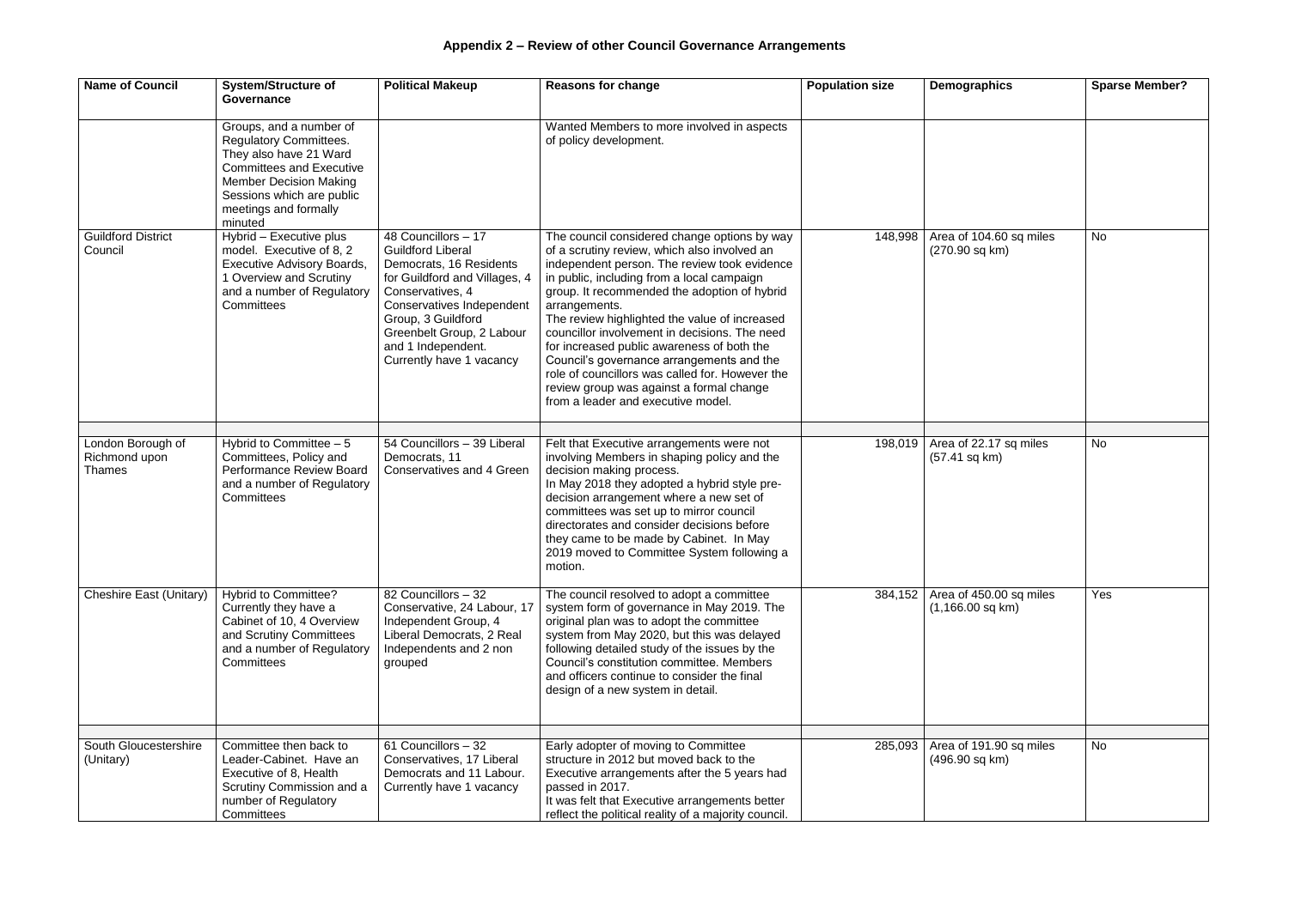| <b>Name of Council</b>                       | <b>System/Structure of</b><br>Governance                                                                                                                                                                                | <b>Political Makeup</b>                                                                                                                                                                                                                                           | <b>Reasons for change</b>                                                                                                                                                                                                                                                                                                                                                                                                                                                                                                                                                                     | <b>Population size</b> | Demographics                                      | <b>Sparse Member?</b> |
|----------------------------------------------|-------------------------------------------------------------------------------------------------------------------------------------------------------------------------------------------------------------------------|-------------------------------------------------------------------------------------------------------------------------------------------------------------------------------------------------------------------------------------------------------------------|-----------------------------------------------------------------------------------------------------------------------------------------------------------------------------------------------------------------------------------------------------------------------------------------------------------------------------------------------------------------------------------------------------------------------------------------------------------------------------------------------------------------------------------------------------------------------------------------------|------------------------|---------------------------------------------------|-----------------------|
|                                              | Groups, and a number of<br><b>Regulatory Committees.</b><br>They also have 21 Ward<br><b>Committees and Executive</b><br><b>Member Decision Making</b><br>Sessions which are public<br>meetings and formally<br>minuted |                                                                                                                                                                                                                                                                   | Wanted Members to more involved in aspects<br>of policy development.                                                                                                                                                                                                                                                                                                                                                                                                                                                                                                                          |                        |                                                   |                       |
| <b>Guildford District</b><br>Council         | Hybrid - Executive plus<br>model. Executive of 8, 2<br><b>Executive Advisory Boards,</b><br>1 Overview and Scrutiny<br>and a number of Regulatory<br>Committees                                                         | 48 Councillors - 17<br><b>Guildford Liberal</b><br>Democrats, 16 Residents<br>for Guildford and Villages, 4<br>Conservatives, 4<br>Conservatives Independent<br>Group, 3 Guildford<br>Greenbelt Group, 2 Labour<br>and 1 Independent.<br>Currently have 1 vacancy | The council considered change options by way<br>of a scrutiny review, which also involved an<br>independent person. The review took evidence<br>in public, including from a local campaign<br>group. It recommended the adoption of hybrid<br>arrangements.<br>The review highlighted the value of increased<br>councillor involvement in decisions. The need<br>for increased public awareness of both the<br>Council's governance arrangements and the<br>role of councillors was called for. However the<br>review group was against a formal change<br>from a leader and executive model. | 148,998                | Area of 104.60 sq miles<br>(270.90 sq km)         | <b>No</b>             |
|                                              |                                                                                                                                                                                                                         |                                                                                                                                                                                                                                                                   |                                                                                                                                                                                                                                                                                                                                                                                                                                                                                                                                                                                               |                        |                                                   |                       |
| London Borough of<br>Richmond upon<br>Thames | Hybrid to Committee $-5$<br>Committees, Policy and<br>Performance Review Board<br>and a number of Regulatory<br>Committees                                                                                              | 54 Councillors - 39 Liberal<br>Democrats, 11<br><b>Conservatives and 4 Green</b>                                                                                                                                                                                  | Felt that Executive arrangements were not<br>involving Members in shaping policy and the<br>decision making process.<br>In May 2018 they adopted a hybrid style pre-<br>decision arrangement where a new set of<br>committees was set up to mirror council<br>directorates and consider decisions before<br>they came to be made by Cabinet. In May<br>2019 moved to Committee System following a<br>motion.                                                                                                                                                                                  | 198,019                | Area of 22.17 sq miles<br>$(57.41 \text{ sq km})$ | <b>No</b>             |
| <b>Cheshire East (Unitary)</b>               | <b>Hybrid to Committee?</b><br>Currently they have a<br>Cabinet of 10, 4 Overview<br>and Scrutiny Committees<br>and a number of Regulatory<br>Committees                                                                | 82 Councillors - 32<br>Conservative, 24 Labour, 17<br>Independent Group, 4<br>Liberal Democrats, 2 Real<br>Independents and 2 non<br>grouped                                                                                                                      | The council resolved to adopt a committee<br>system form of governance in May 2019. The<br>original plan was to adopt the committee<br>system from May 2020, but this was delayed<br>following detailed study of the issues by the<br>Council's constitution committee. Members<br>and officers continue to consider the final<br>design of a new system in detail.                                                                                                                                                                                                                           | 384,152                | Area of 450.00 sq miles<br>$(1,166.00$ sq km)     | Yes                   |
|                                              |                                                                                                                                                                                                                         |                                                                                                                                                                                                                                                                   |                                                                                                                                                                                                                                                                                                                                                                                                                                                                                                                                                                                               |                        |                                                   |                       |
| South Gloucestershire<br>(Unitary)           | Committee then back to<br>Leader-Cabinet. Have an<br>Executive of 8, Health<br>Scrutiny Commission and a<br>number of Regulatory<br>Committees                                                                          | 61 Councillors - 32<br>Conservatives, 17 Liberal<br>Democrats and 11 Labour.<br>Currently have 1 vacancy                                                                                                                                                          | Early adopter of moving to Committee<br>structure in 2012 but moved back to the<br>Executive arrangements after the 5 years had<br>passed in 2017.<br>It was felt that Executive arrangements better<br>reflect the political reality of a majority council.                                                                                                                                                                                                                                                                                                                                  | 285,093                | Area of 191.90 sq miles<br>(496.90 sq km)         | <b>No</b>             |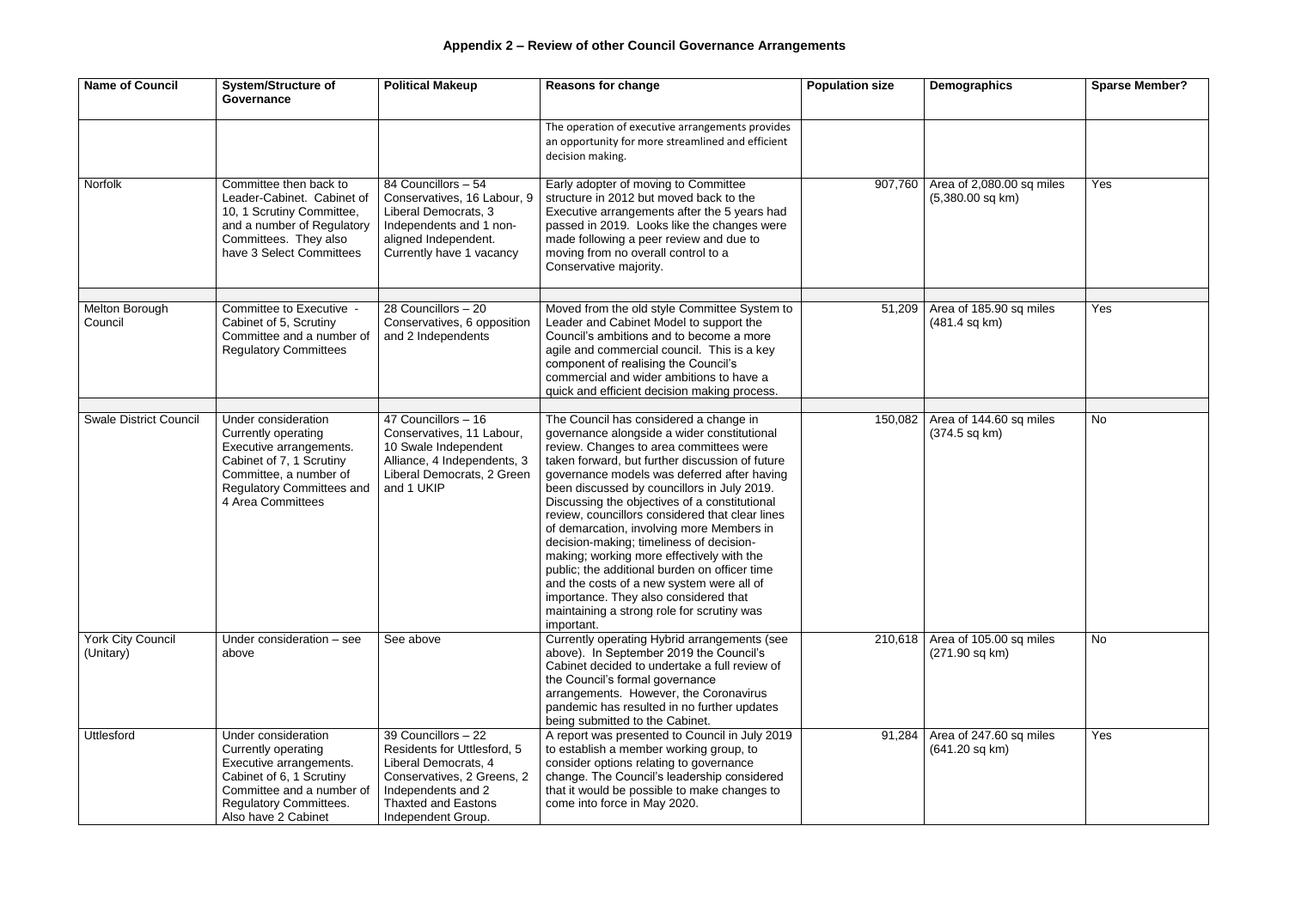| <b>Name of Council</b>         | <b>System/Structure of</b><br>Governance                                                                                                                                               | <b>Political Makeup</b>                                                                                                                                                            | <b>Reasons for change</b>                                                                                                                                                                                                                                                                                                                                                                                                                                                                                                                                                                                                                                                                                                      | <b>Population size</b> | <b>Demographics</b>                                | <b>Sparse Member?</b> |
|--------------------------------|----------------------------------------------------------------------------------------------------------------------------------------------------------------------------------------|------------------------------------------------------------------------------------------------------------------------------------------------------------------------------------|--------------------------------------------------------------------------------------------------------------------------------------------------------------------------------------------------------------------------------------------------------------------------------------------------------------------------------------------------------------------------------------------------------------------------------------------------------------------------------------------------------------------------------------------------------------------------------------------------------------------------------------------------------------------------------------------------------------------------------|------------------------|----------------------------------------------------|-----------------------|
|                                |                                                                                                                                                                                        |                                                                                                                                                                                    | The operation of executive arrangements provides<br>an opportunity for more streamlined and efficient<br>decision making.                                                                                                                                                                                                                                                                                                                                                                                                                                                                                                                                                                                                      |                        |                                                    |                       |
| Norfolk                        | Committee then back to<br>Leader-Cabinet. Cabinet of<br>10, 1 Scrutiny Committee,<br>and a number of Regulatory<br>Committees. They also<br>have 3 Select Committees                   | 84 Councillors - 54<br>Conservatives, 16 Labour, 9<br>Liberal Democrats, 3<br>Independents and 1 non-<br>aligned Independent.<br>Currently have 1 vacancy                          | Early adopter of moving to Committee<br>structure in 2012 but moved back to the<br>Executive arrangements after the 5 years had<br>passed in 2019. Looks like the changes were<br>made following a peer review and due to<br>moving from no overall control to a<br>Conservative majority.                                                                                                                                                                                                                                                                                                                                                                                                                                     | 907,760                | Area of 2,080.00 sq miles<br>$(5,380.00$ sq km)    | Yes                   |
| Melton Borough<br>Council      | Committee to Executive -<br>Cabinet of 5, Scrutiny<br>Committee and a number of<br><b>Regulatory Committees</b>                                                                        | 28 Councillors - 20<br>Conservatives, 6 opposition<br>and 2 Independents                                                                                                           | Moved from the old style Committee System to<br>Leader and Cabinet Model to support the<br>Council's ambitions and to become a more<br>agile and commercial council. This is a key<br>component of realising the Council's<br>commercial and wider ambitions to have a<br>quick and efficient decision making process.                                                                                                                                                                                                                                                                                                                                                                                                         | 51,209                 | Area of 185.90 sq miles<br>$(481.4 \text{ sq km})$ | Yes                   |
| <b>Swale District Council</b>  | Under consideration<br>Currently operating<br>Executive arrangements.<br>Cabinet of 7, 1 Scrutiny<br>Committee, a number of<br><b>Regulatory Committees and</b><br>4 Area Committees   | 47 Councillors - 16<br>Conservatives, 11 Labour,<br>10 Swale Independent<br>Alliance, 4 Independents, 3<br>Liberal Democrats, 2 Green<br>and 1 UKIP                                | The Council has considered a change in<br>governance alongside a wider constitutional<br>review. Changes to area committees were<br>taken forward, but further discussion of future<br>governance models was deferred after having<br>been discussed by councillors in July 2019.<br>Discussing the objectives of a constitutional<br>review, councillors considered that clear lines<br>of demarcation, involving more Members in<br>decision-making; timeliness of decision-<br>making; working more effectively with the<br>public; the additional burden on officer time<br>and the costs of a new system were all of<br>importance. They also considered that<br>maintaining a strong role for scrutiny was<br>important. | 150,082                | Area of 144.60 sq miles<br>$(374.5 \text{ sq km})$ | No                    |
| York City Council<br>(Unitary) | Under consideration - see<br>above                                                                                                                                                     | See above                                                                                                                                                                          | Currently operating Hybrid arrangements (see<br>above). In September 2019 the Council's<br>Cabinet decided to undertake a full review of<br>the Council's formal governance<br>arrangements. However, the Coronavirus<br>pandemic has resulted in no further updates<br>being submitted to the Cabinet.                                                                                                                                                                                                                                                                                                                                                                                                                        | 210,618                | Area of 105.00 sq miles<br>(271.90 sq km)          | <b>No</b>             |
| <b>Uttlesford</b>              | Under consideration<br>Currently operating<br>Executive arrangements.<br>Cabinet of 6, 1 Scrutiny<br>Committee and a number of<br><b>Regulatory Committees.</b><br>Also have 2 Cabinet | 39 Councillors - 22<br>Residents for Uttlesford, 5<br>Liberal Democrats, 4<br>Conservatives, 2 Greens, 2<br>Independents and 2<br><b>Thaxted and Eastons</b><br>Independent Group. | A report was presented to Council in July 2019<br>to establish a member working group, to<br>consider options relating to governance<br>change. The Council's leadership considered<br>that it would be possible to make changes to<br>come into force in May 2020.                                                                                                                                                                                                                                                                                                                                                                                                                                                            | 91,284                 | Area of 247.60 sq miles<br>$(641.20$ sq km $)$     | Yes                   |

| Demographics                                       | <b>Sparse Member?</b> |
|----------------------------------------------------|-----------------------|
|                                                    |                       |
| Area of 2,080.00 sq miles<br>$(5,380.00$ sq km $)$ | Yes                   |
| Area of 185.90 sq miles                            | Yes                   |
| (481.4 sq km)                                      |                       |
| Area of 144.60 sq miles                            | <b>No</b>             |
| (374.5 sq km)                                      |                       |
| Area of 105.00 sq miles<br>(271.90 sq km)          | N <sub>o</sub>        |
| Area of 247.60 sq miles<br>(641.20 sq km)          | Yes                   |